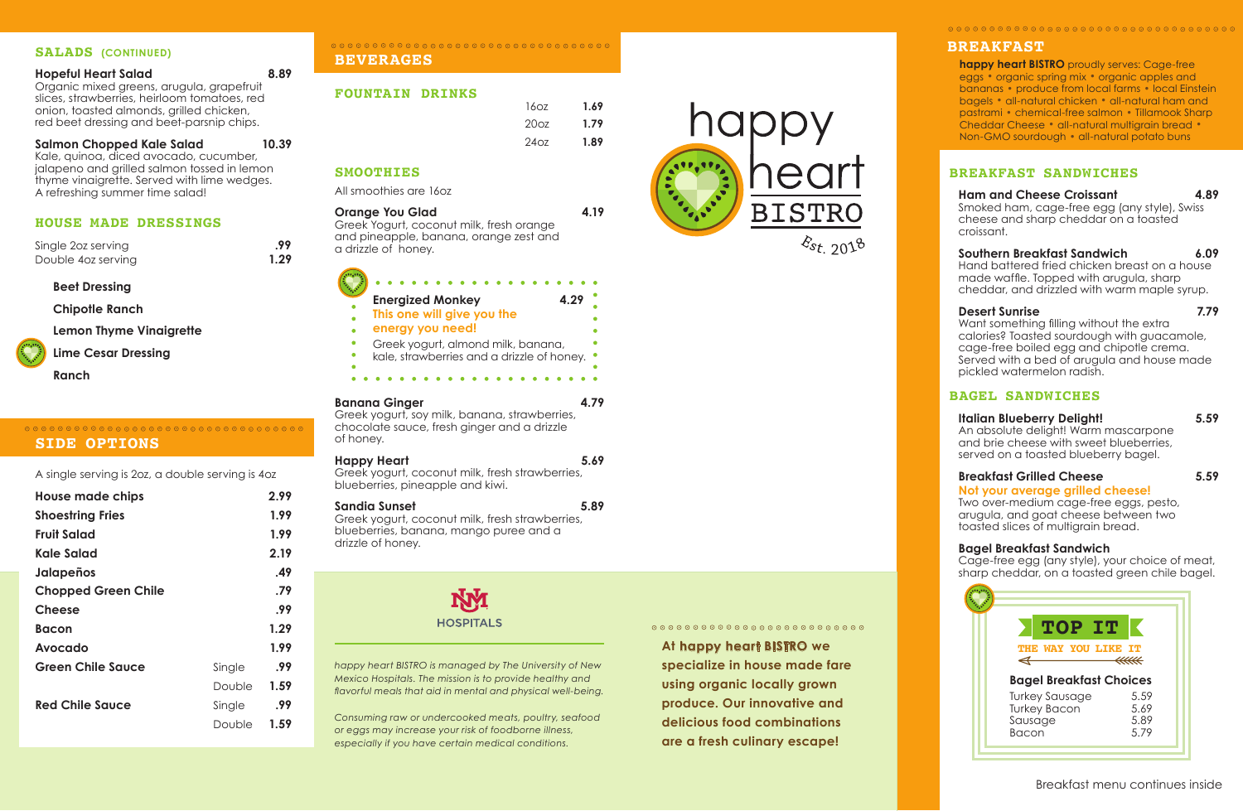## **BREAKFAST SANDWICHES**

### **Ham and Cheese Croissant 4.89**

Smoked ham, cage-free egg (any style), Swiss cheese and sharp cheddar on a toasted croissant.

#### **Southern Breakfast Sandwich 6.09**

Hand battered fried chicken breast on a house made waffle. Topped with arugula, sharp cheddar, and drizzled with warm maple syrup.

#### **Desert Sunrise 7.79**

Want something filling without the extra calories? Toasted sourdough with guacamole, cage-free boiled egg and chipotle crema. Served with a bed of arugula and house made pickled watermelon radish.

### **BAGEL SANDWICHES**

#### **Italian Blueberry Delight! 5.59**

An absolute delight! Warm mascarpone and brie cheese with sweet blueberries, served on a toasted blueberry bagel.

## **Breakfast Grilled Cheese 5.59**

#### **Not your average grilled cheese!**

Two over-medium cage-free eggs, pesto, arugula, and goat cheese between two toasted slices of multigrain bread.

### ${\color{blue}\odot} {\color{blue}\circ} {\color{blue}\circ} {\color{blue}\circ} {\color{blue}\circ} {\color{blue}\circ} {\color{blue}\circ} {\color{blue}\circ} {\color{blue}\circ} {\color{blue}\circ} {\color{blue}\circ} {\color{blue}\circ} {\color{blue}\circ} {\color{blue}\circ} {\color{blue}\circ} {\color{blue}\circ} {\color{blue}\circ} {\color{blue}\circ} {\color{blue}\circ} {\color{blue}\circ} {\color{blue}\circ} {\color{blue}\circ} {\color{blue}\circ} {\color{blue}\circ} {\color{blue}\circ} {\color{blue}\circ} {\color{blue}\circ} {\color{blue}\circ} {\color{blue}\circ} {\color{blue}\circ} {\color{blue}\circ} {\color$ **SIDE OPTIONS**

## **Bagel Breakfast Sandwich**

Cage-free egg (any style), your choice of meat, sharp cheddar, on a toasted green chile bagel.

**BEVERAGES**

## **FOUNTAIN DRINKS**

## **SMOOTHIES**

All smoothies are 16oz

# **Orange You Glad 4.19**

Greek Yogurt, coconut milk, fresh orange and pineapple, banana, orange zest and a drizzle of honey.

## **Banana Ginger 4.79**

Greek yogurt, soy milk, banana, strawberries, chocolate sauce, fresh ginger and a drizzle of honey.

## **Happy Heart 5.69**

Greek yogurt, coconut milk, fresh strawberries, blueberries, pineapple and kiwi.

## **Sandia Sunset 5.89**

Greek yogurt, coconut milk, fresh strawberries, blueberries, banana, mango puree and a drizzle of honey.



#### **SALADS (CONTINUED)**

#### **Hopeful Heart Salad 8.89** Organic mixed greens, arugula, grapefruit slices, strawberries, heirloom tomatoes, red onion, toasted almonds, grilled chicken, red beet dressing and beet-parsnip chips.

**Salmon Chopped Kale Salad 10.39** Kale, quinoa, diced avocado, cucumber, jalapeno and grilled salmon tossed in lemon thyme vinaigrette. Served with lime wedges. A refreshing summer time salad!

## **HOUSE MADE DRESSINGS**

| Single 20z serving | .99  |
|--------------------|------|
| Double 4oz serving | 1.29 |

## **Beet Dressing**

**Chipotle Ranch** 

**Lemon Thyme Vinaigrette** 

**Lime Cesar Dressing** 

**Ranch** 

A single serving is 2oz, a double serving is 4oz

| <b>House made chips</b>    |        | 2.99 |
|----------------------------|--------|------|
| <b>Shoestring Fries</b>    |        | 1.99 |
| <b>Fruit Salad</b>         |        | 1.99 |
| Kale Salad                 |        | 2.19 |
| Jalapeños                  |        | .49  |
| <b>Chopped Green Chile</b> |        | .79  |
| <b>Cheese</b>              |        | .99  |
| <b>Bacon</b>               |        | 1.29 |
| Avocado                    |        | 1.99 |
| <b>Green Chile Sauce</b>   | Single | .99  |
|                            | Double | 1.59 |
| <b>Red Chile Sauce</b>     | Single | .99  |
|                            | Double | 1.59 |
|                            |        |      |

# ${\color{blue}\odot} {\color{blue}\circ} {\color{blue}\circ} {\color{blue}\circ} {\color{blue}\circ} {\color{blue}\circ} {\color{blue}\circ} {\color{blue}\circ} {\color{blue}\circ} {\color{blue}\circ} {\color{blue}\circ} {\color{blue}\circ} {\color{blue}\circ} {\color{blue}\circ} {\color{blue}\circ} {\color{blue}\circ} {\color{blue}\circ} {\color{blue}\circ} {\color{blue}\circ} {\color{blue}\circ} {\color{blue}\circ} {\color{blue}\circ} {\color{blue}\circ} {\color{blue}\circ} {\color{blue}\circ} {\color{blue}\circ} {\color{blue}\circ} {\color{blue}\circ} {\color{blue}\circ} {\color{blue}\circ} {\color{blue}\circ} {\color$

**At happy heart BISTRO we specialize in house made fare using organic locally grown produce. Our innovative and delicious food combinations are a fresh culinary escape!**

| <b>TOP IT</b>                                                    |                              |
|------------------------------------------------------------------|------------------------------|
| THE WAY YOU LIKE IT                                              | ⋘                            |
| <b>Bagel Breakfast Choices</b>                                   |                              |
| <b>Turkey Sausage</b><br><b>Turkey Bacon</b><br>Sausage<br>Bacon | 5.59<br>5.69<br>5.89<br>5.79 |

Breakfast menu continues inside

## **BREAKFAST**

**happy heart BISTRO** proudly serves: Cage-free<br>eggs • organic spring mix • organic apples and eggs . organic spring mix . organic apples and<br>bananas . produce from local farms . local Einstein bananas .<br>bagels . all-natural chicken . all-natural ham and bagels • all-natural chicken • all-natural ham and<br>pastrami • chemical-free salmon • Tillamook Sharp Cheddar Cheese . all-natural multigrain bread . Non-GMO sourdough . all-natural potato buns

*happy heart BISTRO is managed by The University of New Mexico Hospitals. The mission is to provide healthy and flavorful meals that aid in mental and physical well-being.*

*Consuming raw or undercooked meats, poultry, seafood or eggs may increase your risk of foodborne illness, especially if you have certain medical conditions.*



| <b>Energized Monkey</b><br>4.29                                                  |  |
|----------------------------------------------------------------------------------|--|
| This one will give you the                                                       |  |
| energy you need!                                                                 |  |
| Greek yogurt, almond milk, banana,<br>kale, strawberries and a drizzle of honey. |  |

| 1.69 |
|------|
| 1.79 |
| 1.89 |
|      |